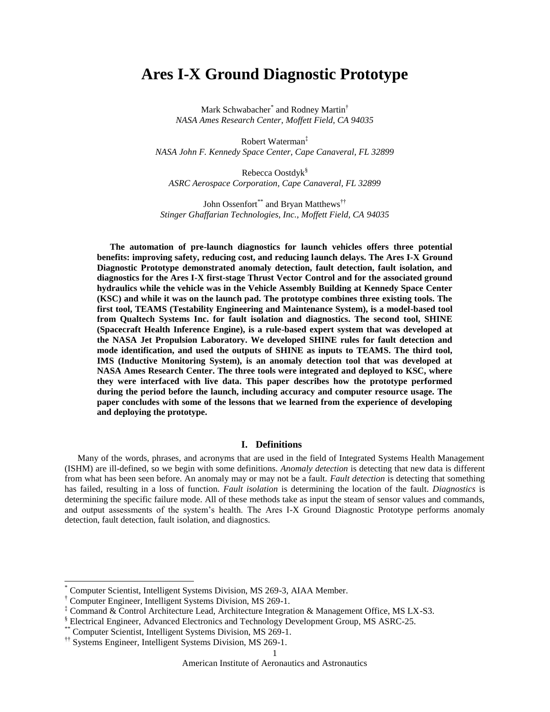# **Ares I-X Ground Diagnostic Prototype**

Mark Schwabacher<sup>\*</sup> and Rodney Martin<sup>†</sup> *NASA Ames Research Center, Moffett Field, CA 94035*

Robert Waterman‡ *NASA John F. Kennedy Space Center, Cape Canaveral, FL 32899*

Rebecca Oostdyk§ *ASRC Aerospace Corporation, Cape Canaveral, FL 32899*

John Ossenfort\*\* and Bryan Matthews<sup>††</sup> *Stinger Ghaffarian Technologies, Inc., Moffett Field, CA 94035*

**The automation of pre-launch diagnostics for launch vehicles offers three potential benefits: improving safety, reducing cost, and reducing launch delays. The Ares I-X Ground Diagnostic Prototype demonstrated anomaly detection, fault detection, fault isolation, and diagnostics for the Ares I-X first-stage Thrust Vector Control and for the associated ground hydraulics while the vehicle was in the Vehicle Assembly Building at Kennedy Space Center (KSC) and while it was on the launch pad. The prototype combines three existing tools. The first tool, TEAMS (Testability Engineering and Maintenance System), is a model-based tool from Qualtech Systems Inc. for fault isolation and diagnostics. The second tool, SHINE (Spacecraft Health Inference Engine), is a rule-based expert system that was developed at the NASA Jet Propulsion Laboratory. We developed SHINE rules for fault detection and mode identification, and used the outputs of SHINE as inputs to TEAMS. The third tool, IMS (Inductive Monitoring System), is an anomaly detection tool that was developed at NASA Ames Research Center. The three tools were integrated and deployed to KSC, where they were interfaced with live data. This paper describes how the prototype performed during the period before the launch, including accuracy and computer resource usage. The paper concludes with some of the lessons that we learned from the experience of developing and deploying the prototype.**

# **I. Definitions**

Many of the words, phrases, and acronyms that are used in the field of Integrated Systems Health Management (ISHM) are ill-defined, so we begin with some definitions. *Anomaly detection* is detecting that new data is different from what has been seen before. An anomaly may or may not be a fault. *Fault detection* is detecting that something has failed, resulting in a loss of function. *Fault isolation* is determining the location of the fault. *Diagnostics* is determining the specific failure mode. All of these methods take as input the steam of sensor values and commands, and output assessments of the system's health. The Ares I-X Ground Diagnostic Prototype performs anomaly detection, fault detection, fault isolation, and diagnostics.

 $\overline{a}$ 

<sup>\*</sup> Computer Scientist, Intelligent Systems Division, MS 269-3, AIAA Member.

<sup>†</sup> Computer Engineer, Intelligent Systems Division, MS 269-1.

<sup>‡</sup> Command & Control Architecture Lead, Architecture Integration & Management Office, MS LX-S3.

<sup>§</sup> Electrical Engineer, Advanced Electronics and Technology Development Group, MS ASRC-25.

<sup>\*\*</sup> Computer Scientist, Intelligent Systems Division, MS 269-1.

<sup>††</sup> Systems Engineer, Intelligent Systems Division, MS 269-1.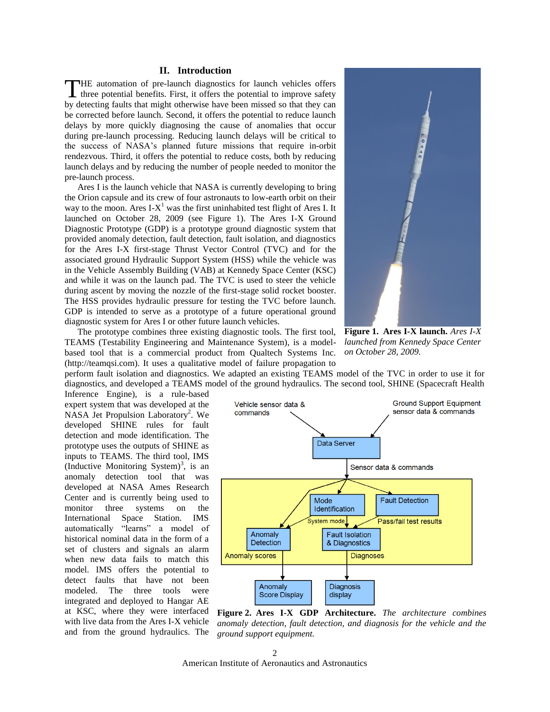#### **II. Introduction**

HE automation of pre-launch diagnostics for launch vehicles offers three potential benefits. First, it offers the potential to improve safety THE automation of pre-launch diagnostics for launch vehicles offers three potential benefits. First, it offers the potential to improve safety by detecting faults that might otherwise have been missed so that they can be corrected before launch. Second, it offers the potential to reduce launch delays by more quickly diagnosing the cause of anomalies that occur during pre-launch processing. Reducing launch delays will be critical to the success of NASA's planned future missions that require in-orbit rendezvous. Third, it offers the potential to reduce costs, both by reducing launch delays and by reducing the number of people needed to monitor the pre-launch process.

Ares I is the launch vehicle that NASA is currently developing to bring the Orion capsule and its crew of four astronauts to low-earth orbit on their way to the moon. Ares I- $X^1$  was the first uninhabited test flight of Ares I. It launched on October 28, 2009 (see Figure 1). The Ares I-X Ground Diagnostic Prototype (GDP) is a prototype ground diagnostic system that provided anomaly detection, fault detection, fault isolation, and diagnostics for the Ares I-X first-stage Thrust Vector Control (TVC) and for the associated ground Hydraulic Support System (HSS) while the vehicle was in the Vehicle Assembly Building (VAB) at Kennedy Space Center (KSC) and while it was on the launch pad. The TVC is used to steer the vehicle during ascent by moving the nozzle of the first-stage solid rocket booster. The HSS provides hydraulic pressure for testing the TVC before launch. GDP is intended to serve as a prototype of a future operational ground diagnostic system for Ares I or other future launch vehicles.

The prototype combines three existing diagnostic tools. The first tool, TEAMS (Testability Engineering and Maintenance System), is a modelbased tool that is a commercial product from Qualtech Systems Inc. (http://teamqsi.com). It uses a qualitative model of failure propagation to



**Figure 1. Ares I-X launch.** *Ares I-X launched from Kennedy Space Center on October 28, 2009.*

perform fault isolation and diagnostics. We adapted an existing TEAMS model of the TVC in order to use it for diagnostics, and developed a TEAMS model of the ground hydraulics. The second tool, SHINE (Spacecraft Health

Inference Engine), is a rule-based expert system that was developed at the NASA Jet Propulsion Laboratory<sup>2</sup>. We developed SHINE rules for fault detection and mode identification. The prototype uses the outputs of SHINE as inputs to TEAMS. The third tool, IMS (Inductive Monitoring System)<sup>3</sup>, is an anomaly detection tool that was developed at NASA Ames Research Center and is currently being used to monitor three systems on the International Space Station. IMS automatically "learns" a model of historical nominal data in the form of a set of clusters and signals an alarm when new data fails to match this model. IMS offers the potential to detect faults that have not been modeled. The three tools were integrated and deployed to Hangar AE at KSC, where they were interfaced with live data from the Ares I-X vehicle and from the ground hydraulics. The



**Figure 2. Ares I-X GDP Architecture.** *The architecture combines anomaly detection, fault detection, and diagnosis for the vehicle and the ground support equipment.*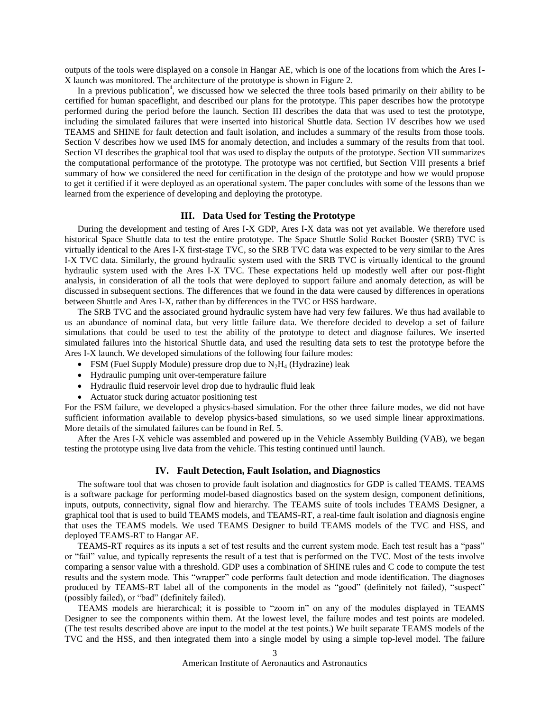outputs of the tools were displayed on a console in Hangar AE, which is one of the locations from which the Ares I-X launch was monitored. The architecture of the prototype is shown in Figure 2.

In a previous publication<sup>4</sup>, we discussed how we selected the three tools based primarily on their ability to be certified for human spaceflight, and described our plans for the prototype. This paper describes how the prototype performed during the period before the launch. Section [III](#page-2-0) describes the data that was used to test the prototype, including the simulated failures that were inserted into historical Shuttle data. Section [IV](#page-2-1) describes how we used TEAMS and SHINE for fault detection and fault isolation, and includes a summary of the results from those tools. Section [V](#page-3-0) describes how we used IMS for anomaly detection, and includes a summary of the results from that tool. Section [VI](#page-6-0) describes the graphical tool that was used to display the outputs of the prototype. Section [VII](#page-6-1) summarizes the computational performance of the prototype. The prototype was not certified, but Section [VIII](#page-7-0) presents a brief summary of how we considered the need for certification in the design of the prototype and how we would propose to get it certified if it were deployed as an operational system. The paper concludes with some of the lessons than we learned from the experience of developing and deploying the prototype.

## **III. Data Used for Testing the Prototype**

<span id="page-2-0"></span>During the development and testing of Ares I-X GDP, Ares I-X data was not yet available. We therefore used historical Space Shuttle data to test the entire prototype. The Space Shuttle Solid Rocket Booster (SRB) TVC is virtually identical to the Ares I-X first-stage TVC, so the SRB TVC data was expected to be very similar to the Ares I-X TVC data. Similarly, the ground hydraulic system used with the SRB TVC is virtually identical to the ground hydraulic system used with the Ares I-X TVC. These expectations held up modestly well after our post-flight analysis, in consideration of all the tools that were deployed to support failure and anomaly detection, as will be discussed in subsequent sections. The differences that we found in the data were caused by differences in operations between Shuttle and Ares I-X, rather than by differences in the TVC or HSS hardware.

The SRB TVC and the associated ground hydraulic system have had very few failures. We thus had available to us an abundance of nominal data, but very little failure data. We therefore decided to develop a set of failure simulations that could be used to test the ability of the prototype to detect and diagnose failures. We inserted simulated failures into the historical Shuttle data, and used the resulting data sets to test the prototype before the Ares I-X launch. We developed simulations of the following four failure modes:

- FSM (Fuel Supply Module) pressure drop due to  $N_2H_4$  (Hydrazine) leak
- Hydraulic pumping unit over-temperature failure
- Hydraulic fluid reservoir level drop due to hydraulic fluid leak
- Actuator stuck during actuator positioning test

For the FSM failure, we developed a physics-based simulation. For the other three failure modes, we did not have sufficient information available to develop physics-based simulations, so we used simple linear approximations. More details of the simulated failures can be found in Ref. 5.

<span id="page-2-1"></span>After the Ares I-X vehicle was assembled and powered up in the Vehicle Assembly Building (VAB), we began testing the prototype using live data from the vehicle. This testing continued until launch.

## **IV. Fault Detection, Fault Isolation, and Diagnostics**

The software tool that was chosen to provide fault isolation and diagnostics for GDP is called TEAMS. TEAMS is a software package for performing model-based diagnostics based on the system design, component definitions, inputs, outputs, connectivity, signal flow and hierarchy. The TEAMS suite of tools includes TEAMS Designer, a graphical tool that is used to build TEAMS models, and TEAMS-RT, a real-time fault isolation and diagnosis engine that uses the TEAMS models. We used TEAMS Designer to build TEAMS models of the TVC and HSS, and deployed TEAMS-RT to Hangar AE.

TEAMS-RT requires as its inputs a set of test results and the current system mode. Each test result has a "pass" or "fail" value, and typically represents the result of a test that is performed on the TVC. Most of the tests involve comparing a sensor value with a threshold. GDP uses a combination of SHINE rules and C code to compute the test results and the system mode. This "wrapper" code performs fault detection and mode identification. The diagnoses produced by TEAMS-RT label all of the components in the model as "good" (definitely not failed), "suspect" (possibly failed), or "bad" (definitely failed).

TEAMS models are hierarchical; it is possible to "zoom in" on any of the modules displayed in TEAMS Designer to see the components within them. At the lowest level, the failure modes and test points are modeled. (The test results described above are input to the model at the test points.) We built separate TEAMS models of the TVC and the HSS, and then integrated them into a single model by using a simple top-level model. The failure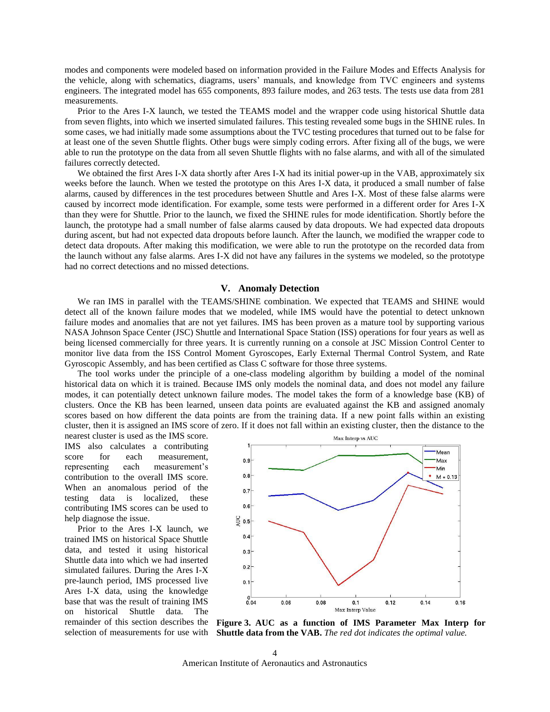modes and components were modeled based on information provided in the Failure Modes and Effects Analysis for the vehicle, along with schematics, diagrams, users' manuals, and knowledge from TVC engineers and systems engineers. The integrated model has 655 components, 893 failure modes, and 263 tests. The tests use data from 281 measurements.

Prior to the Ares I-X launch, we tested the TEAMS model and the wrapper code using historical Shuttle data from seven flights, into which we inserted simulated failures. This testing revealed some bugs in the SHINE rules. In some cases, we had initially made some assumptions about the TVC testing procedures that turned out to be false for at least one of the seven Shuttle flights. Other bugs were simply coding errors. After fixing all of the bugs, we were able to run the prototype on the data from all seven Shuttle flights with no false alarms, and with all of the simulated failures correctly detected.

We obtained the first Ares I-X data shortly after Ares I-X had its initial power-up in the VAB, approximately six weeks before the launch. When we tested the prototype on this Ares I-X data, it produced a small number of false alarms, caused by differences in the test procedures between Shuttle and Ares I-X. Most of these false alarms were caused by incorrect mode identification. For example, some tests were performed in a different order for Ares I-X than they were for Shuttle. Prior to the launch, we fixed the SHINE rules for mode identification. Shortly before the launch, the prototype had a small number of false alarms caused by data dropouts. We had expected data dropouts during ascent, but had not expected data dropouts before launch. After the launch, we modified the wrapper code to detect data dropouts. After making this modification, we were able to run the prototype on the recorded data from the launch without any false alarms. Ares I-X did not have any failures in the systems we modeled, so the prototype had no correct detections and no missed detections.

## **V. Anomaly Detection**

<span id="page-3-0"></span>We ran IMS in parallel with the TEAMS/SHINE combination. We expected that TEAMS and SHINE would detect all of the known failure modes that we modeled, while IMS would have the potential to detect unknown failure modes and anomalies that are not yet failures. IMS has been proven as a mature tool by supporting various NASA Johnson Space Center (JSC) Shuttle and International Space Station (ISS) operations for four years as well as being licensed commercially for three years. It is currently running on a console at JSC Mission Control Center to monitor live data from the ISS Control Moment Gyroscopes, Early External Thermal Control System, and Rate Gyroscopic Assembly, and has been certified as Class C software for those three systems.

The tool works under the principle of a one-class modeling algorithm by building a model of the nominal historical data on which it is trained. Because IMS only models the nominal data, and does not model any failure modes, it can potentially detect unknown failure modes. The model takes the form of a knowledge base (KB) of clusters. Once the KB has been learned, unseen data points are evaluated against the KB and assigned anomaly scores based on how different the data points are from the training data. If a new point falls within an existing cluster, then it is assigned an IMS score of zero. If it does not fall within an existing cluster, then the distance to the

nearest cluster is used as the IMS score. IMS also calculates a contributing score for each measurement, representing each measurement's contribution to the overall IMS score. When an anomalous period of the testing data is localized, these contributing IMS scores can be used to help diagnose the issue.

Prior to the Ares I-X launch, we trained IMS on historical Space Shuttle data, and tested it using historical Shuttle data into which we had inserted simulated failures. During the Ares I-X pre-launch period, IMS processed live Ares I-X data, using the knowledge base that was the result of training IMS on historical Shuttle data. The remainder of this section describes the selection of measurements for use with



**Figure 3. AUC as a function of IMS Parameter Max Interp for Shuttle data from the VAB.** *The red dot indicates the optimal value.*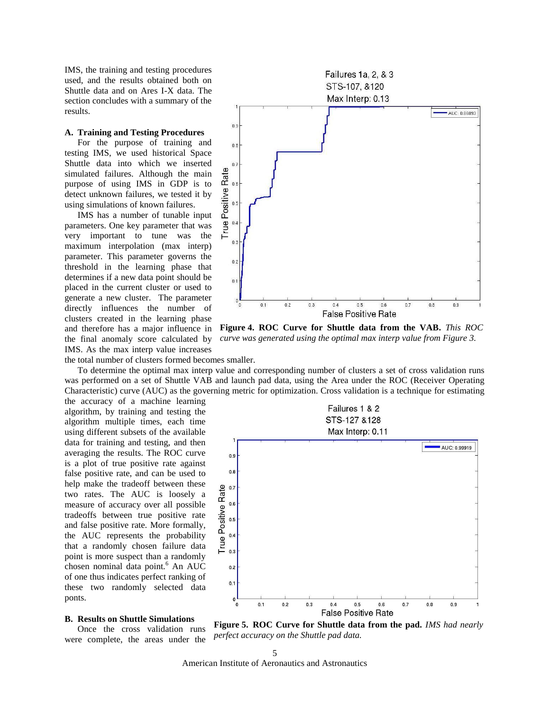IMS, the training and testing procedures used, and the results obtained both on Shuttle data and on Ares I-X data. The section concludes with a summary of the results.

#### **A. Training and Testing Procedures**

For the purpose of training and testing IMS, we used historical Space Shuttle data into which we inserted simulated failures. Although the main purpose of using IMS in GDP is to detect unknown failures, we tested it by using simulations of known failures.

IMS has a number of tunable input parameters. One key parameter that was very important to tune was the maximum interpolation (max interp) parameter. This parameter governs the threshold in the learning phase that determines if a new data point should be placed in the current cluster or used to generate a new cluster. The parameter directly influences the number of clusters created in the learning phase and therefore has a major influence in the final anomaly score calculated by IMS. As the max interp value increases

the total number of clusters formed becomes smaller.

To determine the optimal max interp value and corresponding number of clusters a set of cross validation runs was performed on a set of Shuttle VAB and launch pad data, using the Area under the ROC (Receiver Operating Characteristic) curve (AUC) as the governing metric for optimization. Cross validation is a technique for estimating

> $0.9$  $0.8$

 $0.7$  $0.6$  $0.5$  $0.4$ 

Positive Rate

the accuracy of a machine learning algorithm, by training and testing the algorithm multiple times, each time using different subsets of the available data for training and testing, and then averaging the results. The ROC curve is a plot of true positive rate against false positive rate, and can be used to help make the tradeoff between these two rates. The AUC is loosely a measure of accuracy over all possible tradeoffs between true positive rate and false positive rate. More formally, the AUC represents the probability that a randomly chosen failure data point is more suspect than a randomly chosen nominal data point.<sup>6</sup> An AUC of one thus indicates perfect ranking of these two randomly selected data ponts.

## **B. Results on Shuttle Simulations**

Once the cross validation runs were complete, the areas under the



**Figure 5. ROC Curve for Shuttle data from the pad.** *IMS had nearly* 



**Figure 4. ROC Curve for Shuttle data from the VAB.** *This ROC curve was generated using the optimal max interp value from Figure 3.*

Failures 1 & 2 STS-127 & 128 Max Interp: 0.11

AUC: 0.99919

*perfect accuracy on the Shuttle pad data.*

American Institute of Aeronautics and Astronautics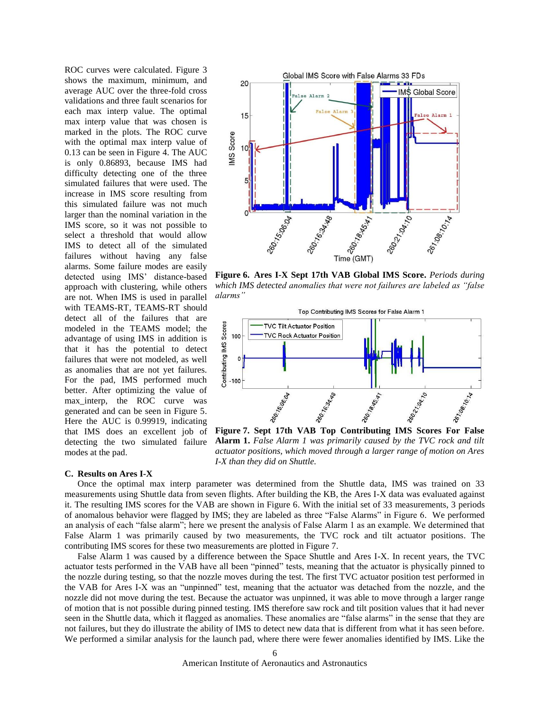ROC curves were calculated. Figure 3 shows the maximum, minimum, and average AUC over the three-fold cross validations and three fault scenarios for each max interp value. The optimal max interp value that was chosen is marked in the plots. The ROC curve with the optimal max interp value of 0.13 can be seen in Figure 4. The AUC is only 0.86893, because IMS had difficulty detecting one of the three simulated failures that were used. The increase in IMS score resulting from this simulated failure was not much larger than the nominal variation in the IMS score, so it was not possible to select a threshold that would allow IMS to detect all of the simulated failures without having any false alarms. Some failure modes are easily detected using IMS' distance-based approach with clustering, while others are not. When IMS is used in parallel with TEAMS-RT, TEAMS-RT should detect all of the failures that are modeled in the TEAMS model; the advantage of using IMS in addition is that it has the potential to detect failures that were not modeled, as well as anomalies that are not yet failures. For the pad, IMS performed much better. After optimizing the value of max\_interp, the ROC curve was generated and can be seen in Figure 5. Here the AUC is 0.99919, indicating that IMS does an excellent job of detecting the two simulated failure modes at the pad.

#### **C. Results on Ares I-X**



False Alarm 1 was caused by a difference between the Space Shuttle and Ares I-X. In recent years, the TVC actuator tests performed in the VAB have all been "pinned" tests, meaning that the actuator is physically pinned to the nozzle during testing, so that the nozzle moves during the test. The first TVC actuator position test performed in the VAB for Ares I-X was an "unpinned" test, meaning that the actuator was detached from the nozzle, and the nozzle did not move during the test. Because the actuator was unpinned, it was able to move through a larger range of motion that is not possible during pinned testing. IMS therefore saw rock and tilt position values that it had never seen in the Shuttle data, which it flagged as anomalies. These anomalies are "false alarms" in the sense that they are not failures, but they do illustrate the ability of IMS to detect new data that is different from what it has seen before. We performed a similar analysis for the launch pad, where there were fewer anomalies identified by IMS. Like the



**Figure 6. Ares I-X Sept 17th VAB Global IMS Score.** *Periods during which IMS detected anomalies that were not failures are labeled as "false alarms"*



**Alarm 1.** *False Alarm 1 was primarily caused by the TVC rock and tilt actuator positions, which moved through a larger range of motion on Ares I-X than they did on Shuttle.*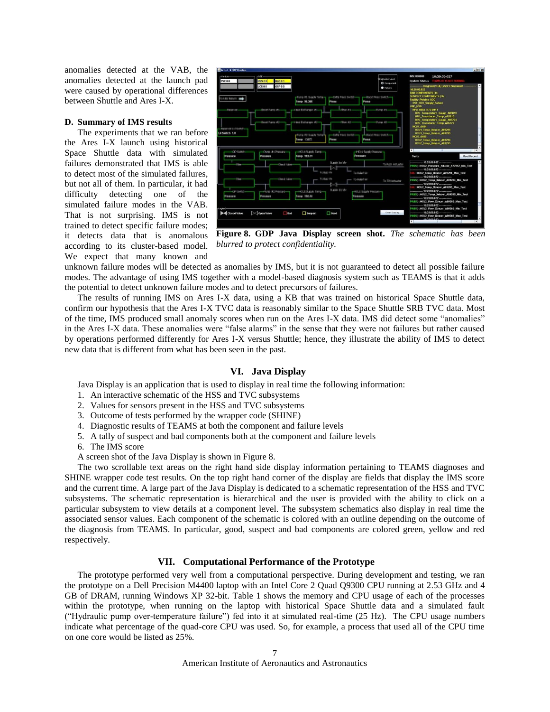anomalies detected at the VAB, the anomalies detected at the launch pad were caused by operational differences between Shuttle and Ares I-X.

## **D. Summary of IMS results**

The experiments that we ran before the Ares I-X launch using historical Space Shuttle data with simulated failures demonstrated that IMS is able to detect most of the simulated failures, but not all of them. In particular, it had difficulty detecting one of the simulated failure modes in the VAB. That is not surprising. IMS is not trained to detect specific failure modes; it detects data that is anomalous according to its cluster-based model. We expect that many known and



**Figure 8. GDP Java Display screen shot.** *The schematic has been blurred to protect confidentiality.*

unknown failure modes will be detected as anomalies by IMS, but it is not guaranteed to detect all possible failure modes. The advantage of using IMS together with a model-based diagnosis system such as TEAMS is that it adds the potential to detect unknown failure modes and to detect precursors of failures.

The results of running IMS on Ares I-X data, using a KB that was trained on historical Space Shuttle data, confirm our hypothesis that the Ares I-X TVC data is reasonably similar to the Space Shuttle SRB TVC data. Most of the time, IMS produced small anomaly scores when run on the Ares I-X data. IMS did detect some "anomalies" in the Ares I-X data. These anomalies were "false alarms" in the sense that they were not failures but rather caused by operations performed differently for Ares I-X versus Shuttle; hence, they illustrate the ability of IMS to detect new data that is different from what has been seen in the past.

# **VI. Java Display**

<span id="page-6-0"></span>Java Display is an application that is used to display in real time the following information:

- 1. An interactive schematic of the HSS and TVC subsystems
- 2. Values for sensors present in the HSS and TVC subsystems
- 3. Outcome of tests performed by the wrapper code (SHINE)
- 4. Diagnostic results of TEAMS at both the component and failure levels
- 5. A tally of suspect and bad components both at the component and failure levels
- 6. The IMS score
- A screen shot of the Java Display is shown in Figure 8.

The two scrollable text areas on the right hand side display information pertaining to TEAMS diagnoses and SHINE wrapper code test results. On the top right hand corner of the display are fields that display the IMS score and the current time. A large part of the Java Display is dedicated to a schematic representation of the HSS and TVC subsystems. The schematic representation is hierarchical and the user is provided with the ability to click on a particular subsystem to view details at a component level. The subsystem schematics also display in real time the associated sensor values. Each component of the schematic is colored with an outline depending on the outcome of the diagnosis from TEAMS. In particular, good, suspect and bad components are colored green, yellow and red respectively.

## **VII. Computational Performance of the Prototype**

<span id="page-6-1"></span>The prototype performed very well from a computational perspective. During development and testing, we ran the prototype on a Dell Precision M4400 laptop with an Intel Core 2 Quad Q9300 CPU running at 2.53 GHz and 4 GB of DRAM, running Windows XP 32-bit. [Table 1](#page-7-1) shows the memory and CPU usage of each of the processes within the prototype, when running on the laptop with historical Space Shuttle data and a simulated fault ("Hydraulic pump over-temperature failure") fed into it at simulated real-time (25 Hz). The CPU usage numbers indicate what percentage of the quad-core CPU was used. So, for example, a process that used all of the CPU time on one core would be listed as 25%.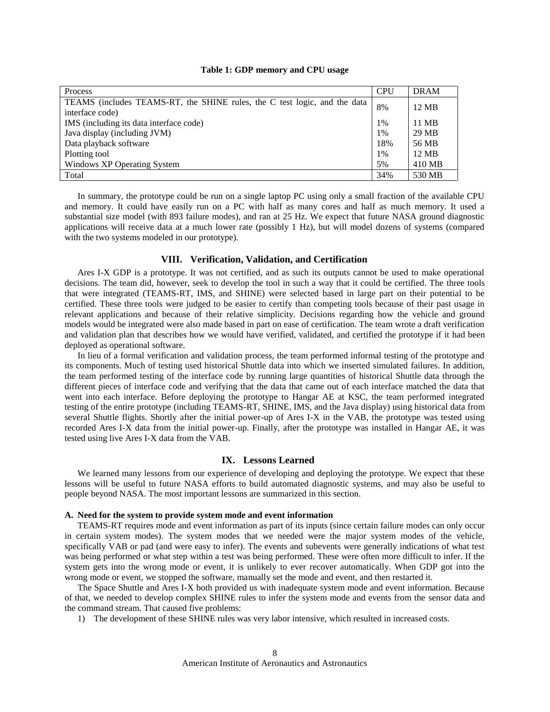## **Table 1: GDP memory and CPU usage**

<span id="page-7-1"></span>

| Process                                                                   | <b>CPU</b> | <b>DRAM</b> |
|---------------------------------------------------------------------------|------------|-------------|
| TEAMS (includes TEAMS-RT, the SHINE rules, the C test logic, and the data | 8%         | 12 MB       |
| interface code)                                                           |            |             |
| IMS (including its data interface code)                                   | $1\%$      | 11 MB       |
| Java display (including JVM)                                              | $1\%$      | 29 MB       |
| Data playback software                                                    | 18%        | 56 MB       |
| Plotting tool                                                             | $1\%$      | 12 MB       |
| Windows XP Operating System                                               | 5%         | 410 MB      |
| Total                                                                     | 34%        | 530 MB      |

In summary, the prototype could be run on a single laptop PC using only a small fraction of the available CPU and memory. It could have easily run on a PC with half as many cores and half as much memory. It used a substantial size model (with 893 failure modes), and ran at 25 Hz. We expect that future NASA ground diagnostic applications will receive data at a much lower rate (possibly 1 Hz), but will model dozens of systems (compared with the two systems modeled in our prototype).

## **VIII. Verification, Validation, and Certification**

<span id="page-7-0"></span>Ares I-X GDP is a prototype. It was not certified, and as such its outputs cannot be used to make operational decisions. The team did, however, seek to develop the tool in such a way that it could be certified. The three tools that were integrated (TEAMS-RT, IMS, and SHINE) were selected based in large part on their potential to be certified. These three tools were judged to be easier to certify than competing tools because of their past usage in relevant applications and because of their relative simplicity. Decisions regarding how the vehicle and ground models would be integrated were also made based in part on ease of certification. The team wrote a draft verification and validation plan that describes how we would have verified, validated, and certified the prototype if it had been deployed as operational software.

In lieu of a formal verification and validation process, the team performed informal testing of the prototype and its components. Much of testing used historical Shuttle data into which we inserted simulated failures. In addition, the team performed testing of the interface code by running large quantities of historical Shuttle data through the different pieces of interface code and verifying that the data that came out of each interface matched the data that went into each interface. Before deploying the prototype to Hangar AE at KSC, the team performed integrated testing of the entire prototype (including TEAMS-RT, SHINE, IMS, and the Java display) using historical data from several Shuttle flights. Shortly after the initial power-up of Ares I-X in the VAB, the prototype was tested using recorded Ares I-X data from the initial power-up. Finally, after the prototype was installed in Hangar AE, it was tested using live Ares I-X data from the VAB.

# **IX. Lessons Learned**

We learned many lessons from our experience of developing and deploying the prototype. We expect that these lessons will be useful to future NASA efforts to build automated diagnostic systems, and may also be useful to people beyond NASA. The most important lessons are summarized in this section.

#### **A. Need for the system to provide system mode and event information**

TEAMS-RT requires mode and event information as part of its inputs (since certain failure modes can only occur in certain system modes). The system modes that we needed were the major system modes of the vehicle, specifically VAB or pad (and were easy to infer). The events and subevents were generally indications of what test was being performed or what step within a test was being performed. These were often more difficult to infer. If the system gets into the wrong mode or event, it is unlikely to ever recover automatically. When GDP got into the wrong mode or event, we stopped the software, manually set the mode and event, and then restarted it.

The Space Shuttle and Ares I-X both provided us with inadequate system mode and event information. Because of that, we needed to develop complex SHINE rules to infer the system mode and events from the sensor data and the command stream. That caused five problems:

1) The development of these SHINE rules was very labor intensive, which resulted in increased costs.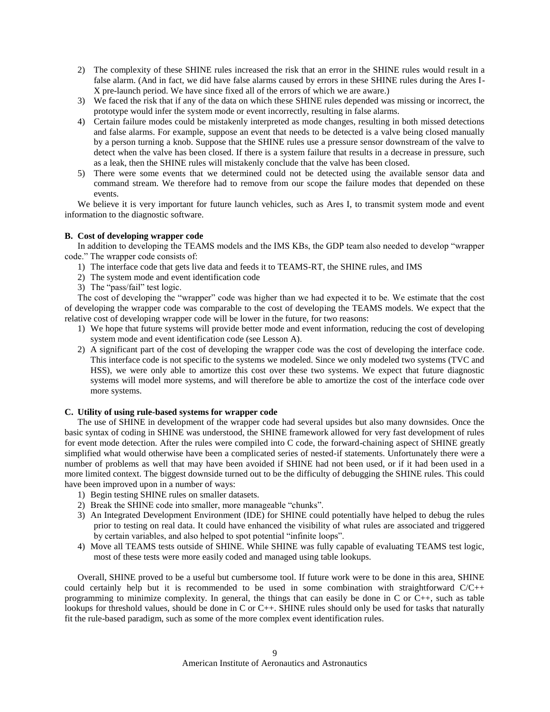- 2) The complexity of these SHINE rules increased the risk that an error in the SHINE rules would result in a false alarm. (And in fact, we did have false alarms caused by errors in these SHINE rules during the Ares I-X pre-launch period. We have since fixed all of the errors of which we are aware.)
- 3) We faced the risk that if any of the data on which these SHINE rules depended was missing or incorrect, the prototype would infer the system mode or event incorrectly, resulting in false alarms.
- 4) Certain failure modes could be mistakenly interpreted as mode changes, resulting in both missed detections and false alarms. For example, suppose an event that needs to be detected is a valve being closed manually by a person turning a knob. Suppose that the SHINE rules use a pressure sensor downstream of the valve to detect when the valve has been closed. If there is a system failure that results in a decrease in pressure, such as a leak, then the SHINE rules will mistakenly conclude that the valve has been closed.
- 5) There were some events that we determined could not be detected using the available sensor data and command stream. We therefore had to remove from our scope the failure modes that depended on these events.

We believe it is very important for future launch vehicles, such as Ares I, to transmit system mode and event information to the diagnostic software.

## **B. Cost of developing wrapper code**

In addition to developing the TEAMS models and the IMS KBs, the GDP team also needed to develop "wrapper code." The wrapper code consists of:

- 1) The interface code that gets live data and feeds it to TEAMS-RT, the SHINE rules, and IMS
- 2) The system mode and event identification code
- 3) The "pass/fail" test logic.

The cost of developing the "wrapper" code was higher than we had expected it to be. We estimate that the cost of developing the wrapper code was comparable to the cost of developing the TEAMS models. We expect that the relative cost of developing wrapper code will be lower in the future, for two reasons:

- 1) We hope that future systems will provide better mode and event information, reducing the cost of developing system mode and event identification code (see Lesson A).
- 2) A significant part of the cost of developing the wrapper code was the cost of developing the interface code. This interface code is not specific to the systems we modeled. Since we only modeled two systems (TVC and HSS), we were only able to amortize this cost over these two systems. We expect that future diagnostic systems will model more systems, and will therefore be able to amortize the cost of the interface code over more systems.

#### **C. Utility of using rule-based systems for wrapper code**

The use of SHINE in development of the wrapper code had several upsides but also many downsides. Once the basic syntax of coding in SHINE was understood, the SHINE framework allowed for very fast development of rules for event mode detection. After the rules were compiled into C code, the forward-chaining aspect of SHINE greatly simplified what would otherwise have been a complicated series of nested-if statements. Unfortunately there were a number of problems as well that may have been avoided if SHINE had not been used, or if it had been used in a more limited context. The biggest downside turned out to be the difficulty of debugging the SHINE rules. This could have been improved upon in a number of ways:

- 1) Begin testing SHINE rules on smaller datasets.
- 2) Break the SHINE code into smaller, more manageable "chunks".
- 3) An Integrated Development Environment (IDE) for SHINE could potentially have helped to debug the rules prior to testing on real data. It could have enhanced the visibility of what rules are associated and triggered by certain variables, and also helped to spot potential "infinite loops".
- 4) Move all TEAMS tests outside of SHINE. While SHINE was fully capable of evaluating TEAMS test logic, most of these tests were more easily coded and managed using table lookups.

Overall, SHINE proved to be a useful but cumbersome tool. If future work were to be done in this area, SHINE could certainly help but it is recommended to be used in some combination with straightforward C/C++ programming to minimize complexity. In general, the things that can easily be done in C or C++, such as table lookups for threshold values, should be done in C or C++. SHINE rules should only be used for tasks that naturally fit the rule-based paradigm, such as some of the more complex event identification rules.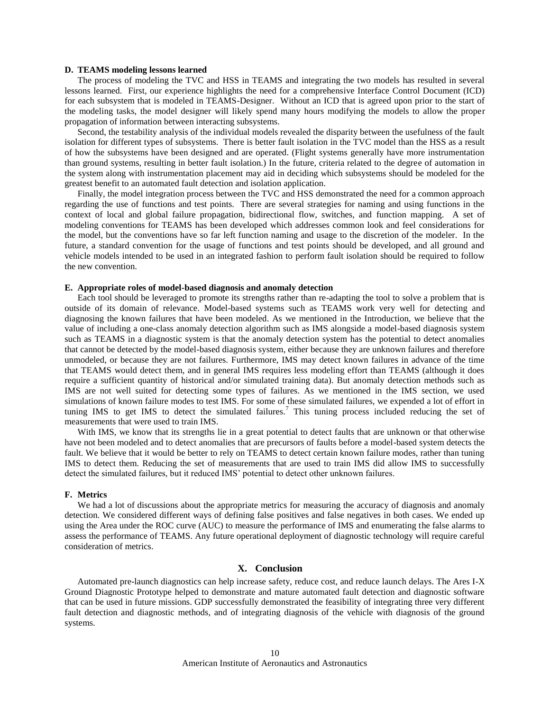#### **D. TEAMS modeling lessons learned**

The process of modeling the TVC and HSS in TEAMS and integrating the two models has resulted in several lessons learned. First, our experience highlights the need for a comprehensive Interface Control Document (ICD) for each subsystem that is modeled in TEAMS-Designer. Without an ICD that is agreed upon prior to the start of the modeling tasks, the model designer will likely spend many hours modifying the models to allow the proper propagation of information between interacting subsystems.

Second, the testability analysis of the individual models revealed the disparity between the usefulness of the fault isolation for different types of subsystems. There is better fault isolation in the TVC model than the HSS as a result of how the subsystems have been designed and are operated. (Flight systems generally have more instrumentation than ground systems, resulting in better fault isolation.) In the future, criteria related to the degree of automation in the system along with instrumentation placement may aid in deciding which subsystems should be modeled for the greatest benefit to an automated fault detection and isolation application.

Finally, the model integration process between the TVC and HSS demonstrated the need for a common approach regarding the use of functions and test points. There are several strategies for naming and using functions in the context of local and global failure propagation, bidirectional flow, switches, and function mapping. A set of modeling conventions for TEAMS has been developed which addresses common look and feel considerations for the model, but the conventions have so far left function naming and usage to the discretion of the modeler. In the future, a standard convention for the usage of functions and test points should be developed, and all ground and vehicle models intended to be used in an integrated fashion to perform fault isolation should be required to follow the new convention.

#### **E. Appropriate roles of model-based diagnosis and anomaly detection**

Each tool should be leveraged to promote its strengths rather than re-adapting the tool to solve a problem that is outside of its domain of relevance. Model-based systems such as TEAMS work very well for detecting and diagnosing the known failures that have been modeled. As we mentioned in the Introduction, we believe that the value of including a one-class anomaly detection algorithm such as IMS alongside a model-based diagnosis system such as TEAMS in a diagnostic system is that the anomaly detection system has the potential to detect anomalies that cannot be detected by the model-based diagnosis system, either because they are unknown failures and therefore unmodeled, or because they are not failures. Furthermore, IMS may detect known failures in advance of the time that TEAMS would detect them, and in general IMS requires less modeling effort than TEAMS (although it does require a sufficient quantity of historical and/or simulated training data). But anomaly detection methods such as IMS are not well suited for detecting some types of failures. As we mentioned in the IMS section, we used simulations of known failure modes to test IMS. For some of these simulated failures, we expended a lot of effort in tuning IMS to get IMS to detect the simulated failures.<sup>7</sup> This tuning process included reducing the set of measurements that were used to train IMS.

With IMS, we know that its strengths lie in a great potential to detect faults that are unknown or that otherwise have not been modeled and to detect anomalies that are precursors of faults before a model-based system detects the fault. We believe that it would be better to rely on TEAMS to detect certain known failure modes, rather than tuning IMS to detect them. Reducing the set of measurements that are used to train IMS did allow IMS to successfully detect the simulated failures, but it reduced IMS' potential to detect other unknown failures.

#### **F. Metrics**

We had a lot of discussions about the appropriate metrics for measuring the accuracy of diagnosis and anomaly detection. We considered different ways of defining false positives and false negatives in both cases. We ended up using the Area under the ROC curve (AUC) to measure the performance of IMS and enumerating the false alarms to assess the performance of TEAMS. Any future operational deployment of diagnostic technology will require careful consideration of metrics.

## **X. Conclusion**

Automated pre-launch diagnostics can help increase safety, reduce cost, and reduce launch delays. The Ares I-X Ground Diagnostic Prototype helped to demonstrate and mature automated fault detection and diagnostic software that can be used in future missions. GDP successfully demonstrated the feasibility of integrating three very different fault detection and diagnostic methods, and of integrating diagnosis of the vehicle with diagnosis of the ground systems.